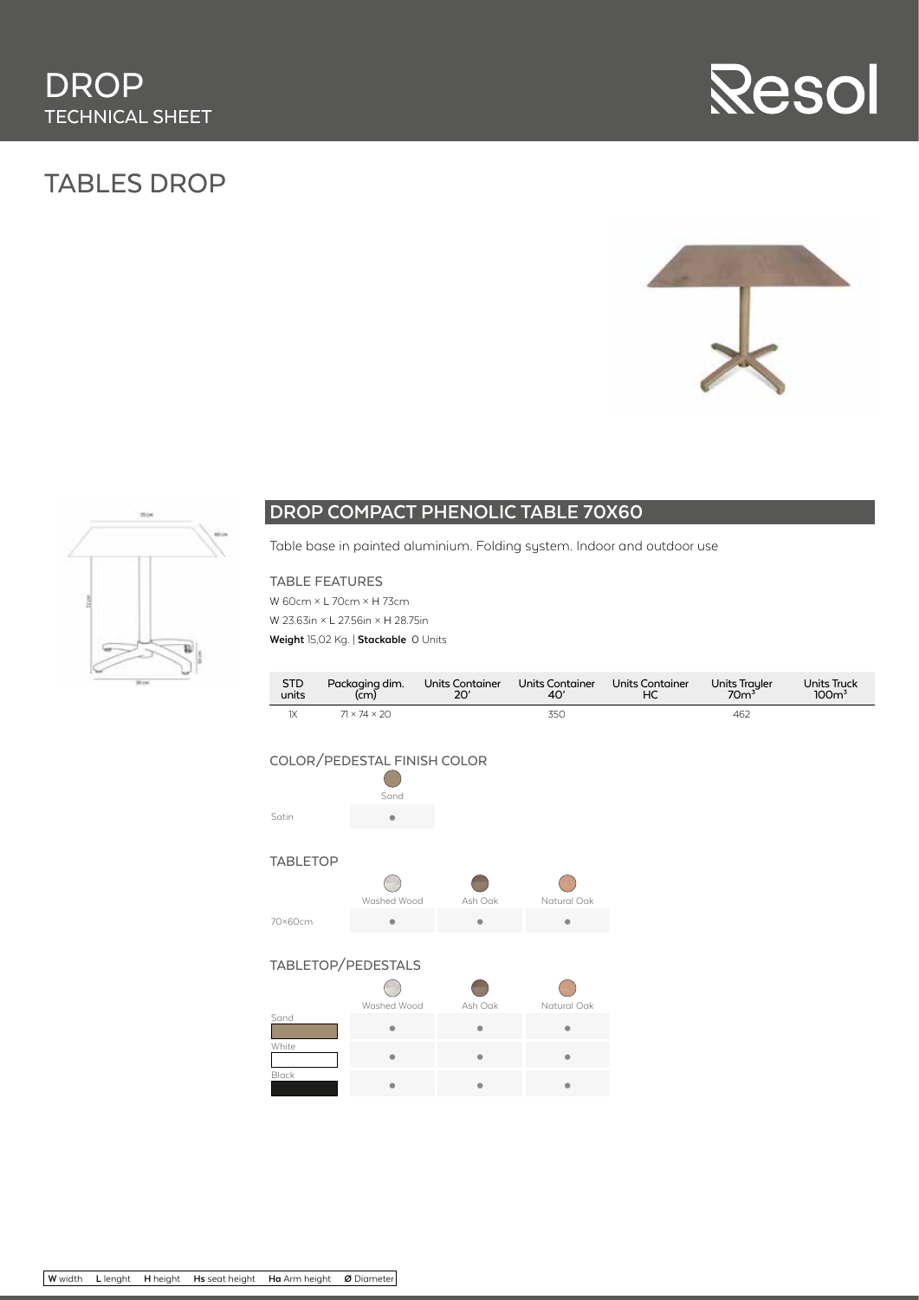# TABLES DROP







## **DROP COMPACT PHENOLIC TABLE 70X60**

Table base in painted aluminium. Folding system. Indoor and outdoor use

#### TABLE FEATURES

W 60cm × L 70cm × H 73cm W 23.63in × L 27.56in × H 28.75in **Weight** 15,02 Kg. | **Stackable** 0 Units

| <b>STD</b> | Packaging dim.           | Units Container | Units Container | <b>Units Container</b> | <b>Units Trayler</b> | Units Truck      |
|------------|--------------------------|-----------------|-----------------|------------------------|----------------------|------------------|
| units      | $\left( \bar{c}m\right)$ | 20'             | 40'             | НC                     | 70 <sup>3</sup>      | 100 <sup>3</sup> |
| ıх         | $71 \times 74 \times 20$ |                 | 35C             |                        | 462                  |                  |

#### COLOR/PEDESTAL FINISH COLOR

 $\bigcirc$ Sand Satin **•** 

#### TABLETOP

|         | Washed Wood | Ash Oak | Natural Oak |  |
|---------|-------------|---------|-------------|--|
| 70×60cm |             |         |             |  |

#### TABLETOP/PEDESTALS

|       | Washed Wood | Ash Oak | Natural Oak |  |
|-------|-------------|---------|-------------|--|
| Sand  |             |         |             |  |
| White |             |         |             |  |
| Black |             |         |             |  |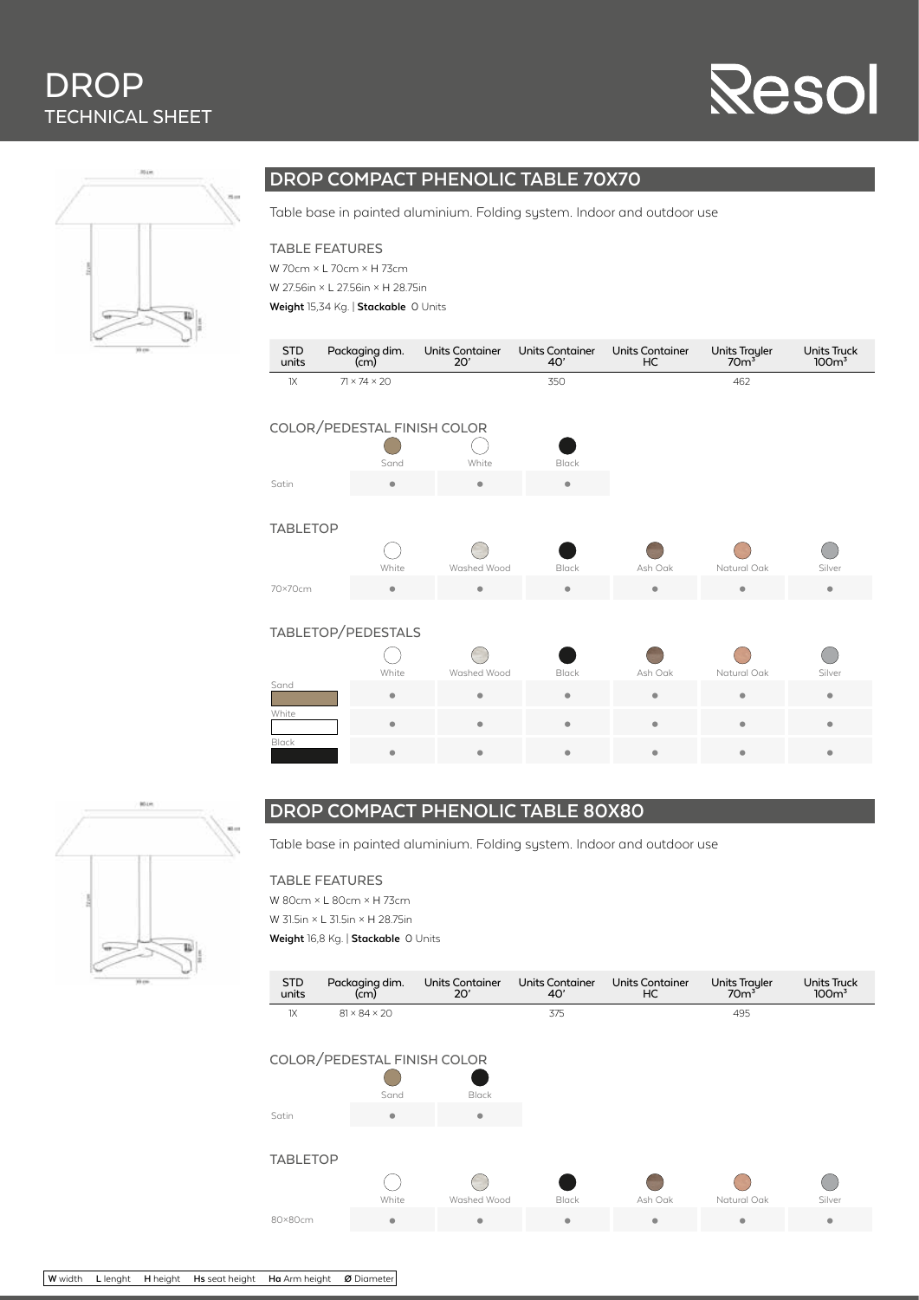# **DROP** TECHNICAL SHEET

# **Resol**



## **DROP COMPACT PHENOLIC TABLE 70X70**

Table base in painted aluminium. Folding system. Indoor and outdoor use

#### TABLE FEATURES

W 70cm × L 70cm × H 73cm W 27.56in × L 27.56in × H 28.75in

**Weight** 15,34 Kg. | **Stackable** 0 Units

| <b>STD</b><br>units         | Packaging dim.<br>(cm)   | Units Container<br>20' | <b>Units Container</b><br>40' | <b>Units Container</b><br>HC | Units Trayler<br>70m <sup>3</sup> | Units Truck<br>$100m$ <sup>3</sup> |  |  |
|-----------------------------|--------------------------|------------------------|-------------------------------|------------------------------|-----------------------------------|------------------------------------|--|--|
| 1X                          | $71 \times 74 \times 20$ |                        | 350                           |                              | 462                               |                                    |  |  |
| COLOR/PEDESTAL FINISH COLOR |                          |                        |                               |                              |                                   |                                    |  |  |
|                             | Sand                     | White                  | Black                         |                              |                                   |                                    |  |  |
| Satin                       | ۰                        | $\bullet$              | ۰                             |                              |                                   |                                    |  |  |
| <b>TABLETOP</b>             |                          |                        |                               |                              |                                   |                                    |  |  |
|                             | White                    | Washed Wood            | <b>Black</b>                  | Ash Oak                      | Natural Oak                       | Silver                             |  |  |
| 70×70cm                     | ۰                        | $\bullet$              | ۰                             | ۰                            | $\bullet$                         | ۰                                  |  |  |
| TABLETOP/PEDESTALS          |                          |                        |                               |                              |                                   |                                    |  |  |
|                             | White                    | Washed Wood            | <b>Black</b>                  | Ash Oak                      | Natural Oak                       | Silver                             |  |  |
| Sand                        | ۰                        | ٠                      | ۰                             | ۰                            | ٠                                 | $\bullet$                          |  |  |
| White                       | ۰                        | ۰                      | ۰                             | $\bullet$                    | ۰                                 | ۰                                  |  |  |
| Black                       | ۰                        | $\bullet$              |                               | $\bullet$                    | ٠                                 | $\bullet$                          |  |  |



### **DROP COMPACT PHENOLIC TABLE 80X80**

Table base in painted aluminium. Folding system. Indoor and outdoor use

#### TABLE FEATURES

W 80cm × L 80cm × H 73cm W 31.5in × L 31.5in × H 28.75in **Weight** 16,8 Kg. | **Stackable** 0 Units

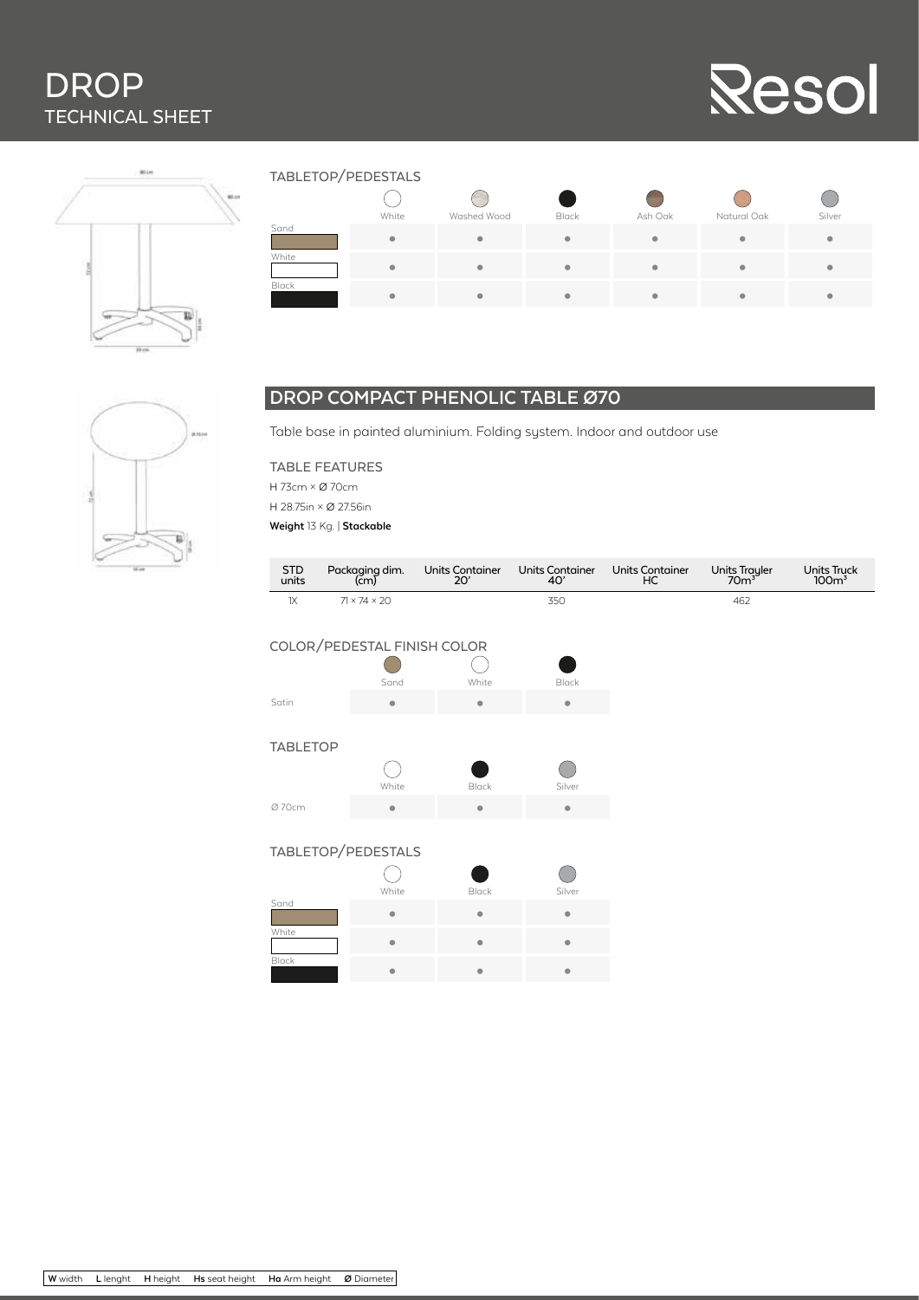# DROP TECHNICAL SHEET





| TABLETOP/PEDESTALS |  |
|--------------------|--|
|--------------------|--|

|       | = == . <del>.</del> == ==  .= <del>-</del> |             |       |           |                         |        |  |  |  |
|-------|--------------------------------------------|-------------|-------|-----------|-------------------------|--------|--|--|--|
|       |                                            |             |       |           |                         |        |  |  |  |
|       | White                                      | Washed Wood | Black | Ash Oak   | Natural Oak             | Silver |  |  |  |
| Sand  | $\bullet$                                  | ۰           | ۰     | $\bullet$ | $\bullet$               | ۰      |  |  |  |
| White | $\bullet$                                  | ۰           | ۰     | ۰         | $\bullet$               | ۰      |  |  |  |
| Black | ۰                                          | ۰           | ۰     |           | $\qquad \qquad \bullet$ | ٠      |  |  |  |

### **DROP COMPACT PHENOLIC TABLE Ø70**

Table base in painted aluminium. Folding system. Indoor and outdoor use

| ٠ |  |
|---|--|
|   |  |

TABLE FEATURES H 73cm × Ø 70cm H 28.75in × Ø 27.56in **Weight** 13 Kg. | **Stackable** 

|                     | $\frac{1}{2}$                                  |                               |                               |                              |                                   |                                        |
|---------------------|------------------------------------------------|-------------------------------|-------------------------------|------------------------------|-----------------------------------|----------------------------------------|
| <b>STD</b><br>units | Packaging dim.<br>$\left(\text{cm}\right)^{3}$ | <b>Units Container</b><br>20' | <b>Units Container</b><br>40' | <b>Units Container</b><br>HC | Units Trayler<br>70m <sup>3</sup> | <b>Units Truck</b><br>100 <sup>3</sup> |
| 1X                  | $71 \times 74 \times 20$                       |                               | 350                           |                              | 462                               |                                        |
|                     | COLOR/PEDESTAL FINISH COLOR                    |                               |                               |                              |                                   |                                        |
|                     | Sand                                           | White                         | Black                         |                              |                                   |                                        |
| Satin               | ۰                                              | $\bullet$                     | $\bullet$                     |                              |                                   |                                        |
|                     |                                                |                               |                               |                              |                                   |                                        |
| <b>TABLETOP</b>     |                                                |                               |                               |                              |                                   |                                        |
|                     |                                                |                               |                               |                              |                                   |                                        |
|                     | White                                          | Black                         | Silver                        |                              |                                   |                                        |
| Ø 70cm              | ۰                                              | $\bullet$                     | $\bullet$                     |                              |                                   |                                        |
|                     |                                                |                               |                               |                              |                                   |                                        |
|                     | TABLETOP/PEDESTALS                             |                               |                               |                              |                                   |                                        |
|                     | White                                          | Black                         | Silver                        |                              |                                   |                                        |
| Sand                | ۰                                              | ۰                             | ٠                             |                              |                                   |                                        |
| White               | $\bullet$                                      | ۰                             | ۰                             |                              |                                   |                                        |
| Black               | ٠                                              | $\bullet$                     | $\bullet$                     |                              |                                   |                                        |